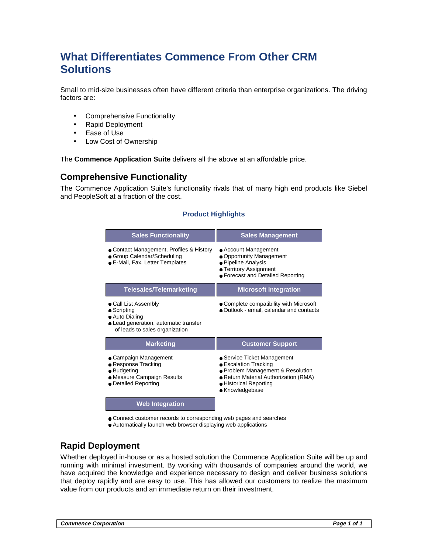# **What Differentiates Commence From Other CRM Solutions**

Small to mid-size businesses often have different criteria than enterprise organizations. The driving factors are:

- Comprehensive Functionality
- Rapid Deployment
- Ease of Use
- Low Cost of Ownership

The **Commence Application Suite** delivers all the above at an affordable price.

#### **Comprehensive Functionality**

The Commence Application Suite's functionality rivals that of many high end products like Siebel and PeopleSoft at a fraction of the cost.

#### **Product Highlights**

| <b>Sales Functionality</b>                                                                                                                  | <b>Sales Management</b>                                                                                                                                                                            |
|---------------------------------------------------------------------------------------------------------------------------------------------|----------------------------------------------------------------------------------------------------------------------------------------------------------------------------------------------------|
| • Contact Management, Profiles & History<br>Group Calendar/Scheduling<br>E-Mail, Fax, Letter Templates                                      | Account Management<br>• Opportunity Management<br>• Pipeline Analysis<br><b>Territory Assignment</b><br>• Forecast and Detailed Reporting                                                          |
| <b>Telesales/Telemarketing</b>                                                                                                              | <b>Microsoft Integration</b>                                                                                                                                                                       |
| • Call List Assembly<br>$\blacksquare$ Scripting<br>Auto Dialing<br>• Lead generation, automatic transfer<br>of leads to sales organization | • Complete compatibility with Microsoft<br>Outlook - email, calendar and contacts                                                                                                                  |
| <b>Marketing</b>                                                                                                                            | <b>Customer Support</b>                                                                                                                                                                            |
| • Campaign Management<br>Response Tracking<br><b>Budgeting</b><br><b>• Measure Campaign Results</b><br>• Detailed Reporting                 | • Service Ticket Management<br><b>Escalation Tracking</b><br><b>Problem Management &amp; Resolution</b><br>• Return Material Authorization (RMA)<br><b>Historical Reporting</b><br>• Knowledgebase |
| <b>Web Integration</b>                                                                                                                      |                                                                                                                                                                                                    |

Connect customer records to corresponding web pages and searches

Automatically launch web browser displaying web applications

### **Rapid Deployment**

Whether deployed in-house or as a hosted solution the Commence Application Suite will be up and running with minimal investment. By working with thousands of companies around the world, we have acquired the knowledge and experience necessary to design and deliver business solutions that deploy rapidly and are easy to use. This has allowed our customers to realize the maximum value from our products and an immediate return on their investment.